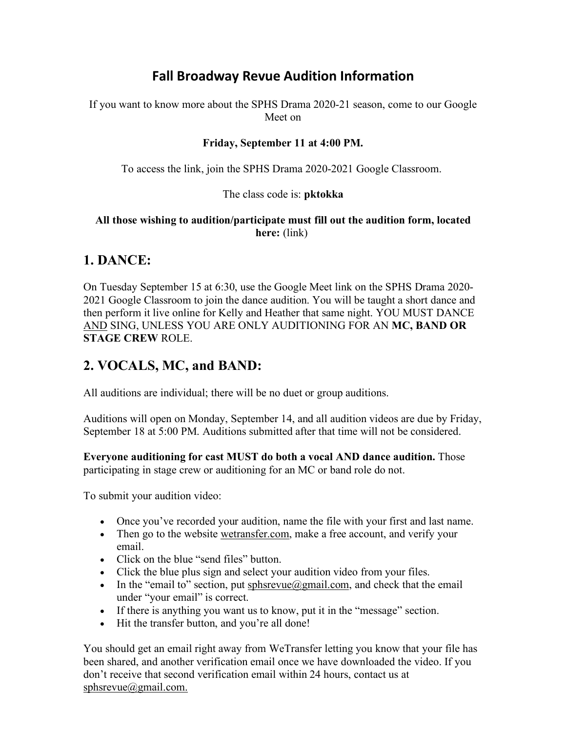# **Fall Broadway Revue Audition Information**

If you want to know more about the SPHS Drama 2020-21 season, come to our Google Meet on

### Friday, September 11 at 4:00 PM.

To access the link, join the SPHS Drama 2020-2021 Google Classroom.

### The class code is: pktokka

#### All those wishing to audition/participate must fill out the audition form, located here: (link)

## 1. DANCE:

On Tuesday September 15 at 6:30, use the Google Meet link on the SPHS Drama 2020- 2021 Google Classroom to join the dance audition. You will be taught a short dance and then perform it live online for Kelly and Heather that same night. YOU MUST DANCE AND SING, UNLESS YOU ARE ONLY AUDITIONING FOR AN MC, BAND OR STAGE CREW ROLE.

## 2. VOCALS, MC, and BAND:

All auditions are individual; there will be no duet or group auditions.

Auditions will open on Monday, September 14, and all audition videos are due by Friday, September 18 at 5:00 PM. Auditions submitted after that time will not be considered.

Everyone auditioning for cast MUST do both a vocal AND dance audition. Those participating in stage crew or auditioning for an MC or band role do not.

To submit your audition video:

- Once you've recorded your audition, name the file with your first and last name.
- Then go to the website wetransfer.com, make a free account, and verify your email.
- Click on the blue "send files" button.
- Click the blue plus sign and select your audition video from your files.
- In the "email to" section, put sphsrevue@gmail.com, and check that the email under "your email" is correct.
- If there is anything you want us to know, put it in the "message" section.
- Hit the transfer button, and you're all done!

You should get an email right away from WeTransfer letting you know that your file has been shared, and another verification email once we have downloaded the video. If you don't receive that second verification email within 24 hours, contact us at sphsrevue@gmail.com.